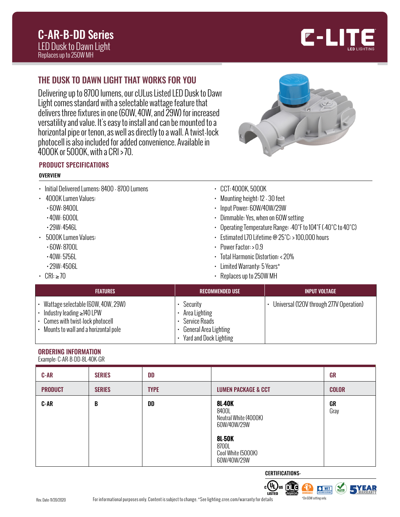

# THE DUSK TO DAWN LIGHT THAT WORKS FOR YOU

Delivering up to 8700 lumens, our cULus Listed LED Dusk to Dawn Light comes standard with a selectable wattage feature that delivers three fixtures in one (60W, 40W, and 29W) for increased versatility and value. It's easy to install and can be mounted to a horizontal pipe or tenon, as well as directly to a wall. A twist-lock photocell is also included for added convenience. Available in 4000K or 5000K, with a CRI > 70.



## PRODUCT SPECIFICATIONS

#### **OVERVIEW**

| • Initial Delivered Lumens: 8400 - 8700 Lumens | $\cdot$ CCT: 4000K, 5000K                                     |
|------------------------------------------------|---------------------------------------------------------------|
| • 4000K Lumen Values:                          | • Mounting height: 12 - 30 feet                               |
| $\cdot$ 60W: 8400L                             | • Input Power: 60W/40W/29W                                    |
| $\cdot$ 40W: 6000L                             | • Dimmable: Yes, when on 60W setting                          |
| $\cdot$ 29W: 4546L                             | • Operating Temperature Range: -40°F to 104°F (-40°C to 40°C) |
| • 5000K Lumen Values:                          | Estimated L70 Lifetime $@25^\circ C:>100,000$ hours           |
| $\cdot$ 60W: 8700L                             | • Power Factor: $> 0.9$                                       |
|                                                |                                                               |

- 40W: 5756L
- 29W: 4506L
- $\cdot$  CRI:  $\geq 70$
- 
- Total Harmonic Distortion: < 20%
- Limited Warranty: 5 Years\*
- Replaces up to 250W MH

| <b>FEATURES</b>                                                                                                                                  | <b>RECOMMENDED USE</b>                                                                        | <b>INPUT VOLTAGE</b>                    |
|--------------------------------------------------------------------------------------------------------------------------------------------------|-----------------------------------------------------------------------------------------------|-----------------------------------------|
| Wattage selectable (60W, 40W, 29W)<br>Industry leading $\geq$ 140 LPW<br>Comes with twist-lock photocell<br>Mounts to wall and a horizontal pole | Security<br>Area Lighting<br>Service Roads<br>General Area Lighting<br>Yard and Dock Lighting | Universal (120V through 277V Operation) |

## ORDERING INFORMATION

Example: C-AR-B-DD-8L-40K-GR

| <b>C-AR</b>    | <b>SERIES</b> | <b>DD</b>   |                                                                                                                               | <b>GR</b>    |
|----------------|---------------|-------------|-------------------------------------------------------------------------------------------------------------------------------|--------------|
| <b>PRODUCT</b> | <b>SERIES</b> | <b>TYPE</b> | <b>LUMEN PACKAGE &amp; CCT</b>                                                                                                | <b>COLOR</b> |
| <b>C-AR</b>    | B             | DD          | <b>8L-40K</b><br>8400L<br>Neutral White (4000K)<br>60W/40W/29W<br><b>8L-50K</b><br>8700L<br>Cool White (5000K)<br>60W/40W/29W | GR<br>Gray   |

CERTIFICATIONS:

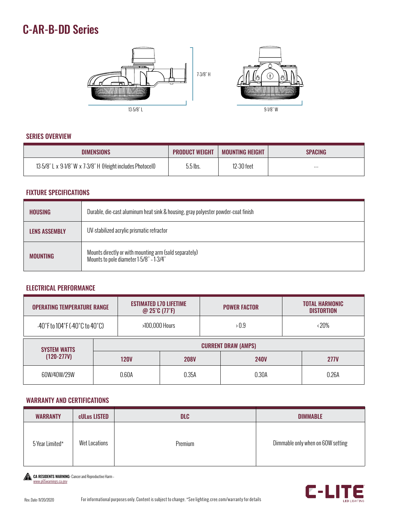# C-AR-B-DD Series



#### SERIES OVERVIEW

| <b>DIMENSIONS</b>                                           | <b>PRODUCT WEIGHT</b> | <b>MOUNTING HEIGHT</b> | SPACING              |
|-------------------------------------------------------------|-----------------------|------------------------|----------------------|
| 13-5/8" L x 9-1/8" W x 7-3/8" H (Height includes Photocell) | $5.5$ lbs.            | 12-30 feet             | $\sim$ $\sim$ $\sim$ |

### FIXTURE SPECIFICATIONS

| <b>HOUSING</b>       | Durable, die-cast aluminum heat sink & housing, gray polyester powder-coat finish                 |  |  |
|----------------------|---------------------------------------------------------------------------------------------------|--|--|
| <b>LENS ASSEMBLY</b> | UV-stabilized acrylic prismatic refractor                                                         |  |  |
| <b>MOUNTING</b>      | Mounts directly or with mounting arm (sold separately)<br>Mounts to pole diameter 1-5/8" - 1-3/4" |  |  |

### ELECTRICAL PERFORMANCE

| <b>ESTIMATED L70 LIFETIME</b><br><b>OPERATING TEMPERATURE RANGE</b><br>$@$ 25°C (77°F) |             |                            |             | <b>POWER FACTOR</b> |             | <b>TOTAL HARMONIC</b><br><b>DISTORTION</b> |             |
|----------------------------------------------------------------------------------------|-------------|----------------------------|-------------|---------------------|-------------|--------------------------------------------|-------------|
| $-40^{\circ}$ F to 104 $^{\circ}$ F ( $-40^{\circ}$ C to 40 $^{\circ}$ C)              |             | >100,000 Hours             |             |                     | >0.9        | $\langle 20\%$                             |             |
| <b>SYSTEM WATTS</b>                                                                    |             | <b>CURRENT DRAW (AMPS)</b> |             |                     |             |                                            |             |
| $(120-277V)$                                                                           | <b>120V</b> |                            | <b>208V</b> |                     | <b>240V</b> |                                            | <b>277V</b> |
| 60W/40W/29W                                                                            |             | 0.60A                      | 0.35A       |                     | 0.30A       |                                            | 0.26A       |

#### WARRANTY AND CERTIFICATIONS

| <b>WARRANTY</b> | <b>cULus LISTED</b> | <b>DLC</b> | <b>DIMMABLE</b>                   |
|-----------------|---------------------|------------|-----------------------------------|
| 5 Year Limited* | Wet Locations       | Premium    | Dimmable only when on 60W setting |

CA RESIDENTS WARNING: Cancer and Reproductive Harm – [www.p65warnings.ca.gov](http://www.p65warnings.ca.gov)